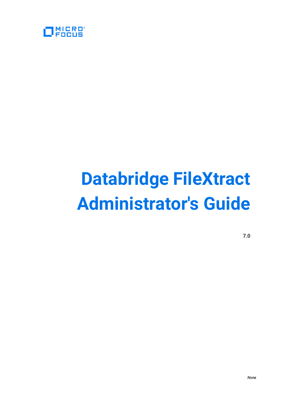

# **Databridge FileXtract Administrator's Guide**

**7.0**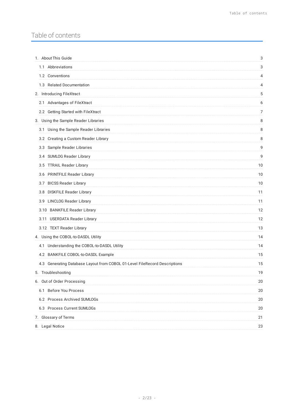## Table of contents

| 1. About This Guide                                                        | 3  |
|----------------------------------------------------------------------------|----|
| 1.1 Abbreviations                                                          | 3  |
| 1.2 Conventions                                                            | 4  |
| 1.3 Related Documentation                                                  | 4  |
| 2. Introducing FileXtract                                                  | 5  |
| 2.1 Advantages of FileXtract                                               | 6  |
| 2.2 Getting Started with FileXtract                                        | 7  |
| 3. Using the Sample Reader Libraries                                       | 8  |
| 3.1 Using the Sample Reader Libraries                                      | 8  |
| 3.2 Creating a Custom Reader Library                                       | 8  |
| 3.3 Sample Reader Libraries                                                | 9  |
| 3.4 SUMLOG Reader Library                                                  | 9  |
| 3.5 TTRAIL Reader Library                                                  | 10 |
| 3.6 PRINTFILE Reader Library                                               | 10 |
| 3.7 BICSS Reader Library                                                   | 10 |
| 3.8 DISKFILE Reader Library                                                | 11 |
| 3.9 LINCLOG Reader Library                                                 | 11 |
| 3.10 BANKFILE Reader Library                                               | 12 |
| 3.11 USERDATA Reader Library                                               | 12 |
| 3.12 TEXT Reader Library                                                   | 13 |
| 4. Using the COBOL-to-DASDL Utility                                        | 14 |
| 4.1 Understanding the COBOL-to-DASDL Utility                               | 14 |
| 4.2 BANKFILE COBOL-to-DASDL Example                                        | 15 |
| 4.3 Generating Database Layout from COBOL 01-Level FileRecord Descriptions | 15 |
| 5. Troubleshooting                                                         | 19 |
| 6. Out of Order Processing                                                 | 20 |
| 6.1 Before You Process                                                     | 20 |
| 6.2 Process Archived SUMLOGs                                               | 20 |
| 6.3 Process Current SUMLOGs                                                | 20 |
| 7. Glossary of Terms                                                       | 21 |
| 8. Legal Notice                                                            | 23 |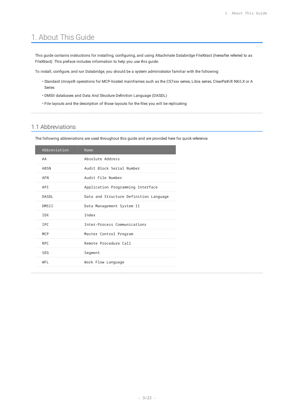# <span id="page-2-0"></span>1. About This Guide

This guide contains instructions for installing, configuring, and using Attachmate Databridge FileXtract (hereafter referred to as FileXtract). This preface includes information to help you use this guide.

To install, configure, and run Databridge, you should be a system administrator familiar with the following:

- $\cdot$  Standard Unisys® operations for MCP-hosted mainframes such as the CS7xxx series, Libra series, ClearPath® NX/LX or A Series
- DMSII databases and Data And Structure Definition Language (DASDL) •
- File layouts and the description of those layouts for the files you will be replicating

## <span id="page-2-1"></span>1.1 Abbreviations

The following abbreviations are used throughout this guide and are provided here for quick reference.

| Name                                   |
|----------------------------------------|
| Absolute Address                       |
| Audit Block Serial Number              |
| Audit File Number                      |
| Application Programming Interface      |
| Data and Structure Definition Language |
| Data Management System II              |
| <b>Tndex</b>                           |
| Inter-Process Communications           |
| Master Control Program                 |
| Remote Procedure Call                  |
| Segment                                |
| Work Flow Language                     |
|                                        |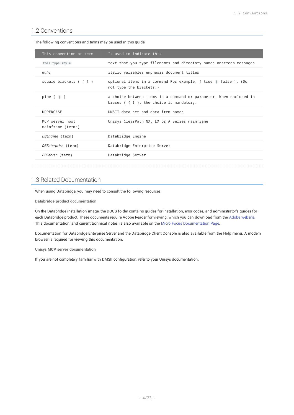## <span id="page-3-0"></span>1.2 Conventions

The following conventions and terms may be used in this guide.

| This convention or term              | Is used to indicate this                                                                                            |
|--------------------------------------|---------------------------------------------------------------------------------------------------------------------|
| this type style                      | text that you type filenames and directory names onscreen messages                                                  |
| italic                               | italic variables emphasis document titles                                                                           |
| square brackets ([])                 | optional items in a command For example, [ true   false ]. (Do<br>not type the brackets.)                           |
| pipe $($ $\ $ $)$                    | a choice between items in a command or parameter. When enclosed in<br>braces $( \{ \} )$ , the choice is mandatory. |
| UPPERCASE                            | DMSII data set and data item names                                                                                  |
| MCP server host<br>mainframe (terms) | Unisys ClearPath NX, LX or A Series mainframe                                                                       |
| DBEngine (term)                      | Databridge Engine                                                                                                   |
| DBEnterprise (term)                  | Databridge Enterprise Server                                                                                        |
| <i>DBServer</i> (term)               | Databridge Server                                                                                                   |

## <span id="page-3-1"></span>1.3 Related Documentation

When using Databridge, you may need to consult the following resources.

**Databridge product documentation**

On the Databridge installation image, the DOCS folder contains guides for installation, error codes, and administrator's guides for each Databridge product. These documents require Adobe Reader for viewing, which you can download from the [Adobe website](http://get.adobe.com/reader/). This documentation, and current technical notes, is also available on the [Micro Focus Documentation Page.](https://www.microfocus.com/documentation/databridge/)

Documentation for Databridge Enterprise Server and the Databridge Client Console is also available from the **Help** menu. A modern browser is required for viewing this documentation.

**Unisys MCP server documentation**

If you are not completely familiar with DMSII configuration, refer to your Unisys documentation.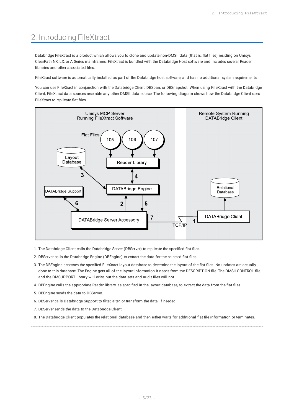# <span id="page-4-0"></span>2. Introducing FileXtract

Databridge FileXtract is a product which allows you to clone and update non-DMSII data (that is, flat files) residing on Unisys ClearPath NX, LX, or A Series mainframes. FileXtract is bundled with the Databridge Host software and includes several Reader libraries and other associated files.

FileXtract software is automatically installed as part of the Databridge host software, and has no additional system requirements.

You can use FileXtract in conjunction with the Databridge Client, DBSpan, or DBSnapshot. When using FileXtract with the Databridge Client, FileXtract data sources resemble any other DMSII data source. The following diagram shows how the Databridge Client uses FileXtract to replicate flat files.



- 1. The Databridge Client calls the Databridge Server (DBServer) to replicate the specified flat files.
- 2. DBServer calls the Databridge Engine (DBEngine) to extract the data for the selected flat files.
- The DBEngine accesses the specified FileXtract layout database to determine the layout of the flat files. No updates are actually 3. done to this database. The Engine gets all of the layout information it needs from the DESCRIPTION file. The DMSII CONTROL file and the DMSUPPORT library will exist, but the data sets and audit files will not.
- DBEngine calls the appropriate Reader library, as specified in the layout database, to extract the data from the flat files. 4.
- 5. DBEngine sends the data to DBServer.
- 6. DBServer calls Databridge Support to filter, alter, or transform the data, if needed.
- 7. DBServer sends the data to the Databridge Client.
- The Databridge Client populates the relational database and then either waits for additional flat file information or terminates. 8.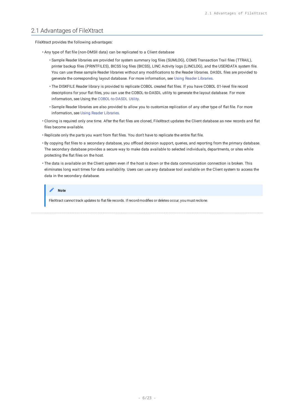## <span id="page-5-0"></span>2.1 Advantages of FileXtract

FileXtract provides the following advantages:

- Any type of flat file (non-DMSII data) can be replicated to a Client database
	- Sample Reader libraries are provided for system summary log files (SUMLOG), COMS Transaction Trail files (TTRAIL), printer backup files (PRINTFILES), BICSS log files (BICSS), LINC Activity logs (LINCLOG), and the USERDATA system file. You can use these sample Reader libraries without any modifications to the Reader libraries. DASDL files are provided to generate the corresponding layout database. For more information, see Using Reader Libraries.
	- The DISKFILE Reader library is provided to replicate COBOL created flat files. If you have COBOL 01-level file record descriptions for your flat files, you can use the COBOL-to-DASDL utility to generate the layout database. For more information, see Using the [COBOL-to-DASDL Utility](#page-13-2).
	- Sample Reader libraries are also provided to allow you to customize replication of any other type of flat file. For more information, see [Using Reader Libraries.](#page-7-3)
- $\cdot$  Cloning is required only one time. After the flat files are cloned, FileXtract updates the Client database as new records and flat files become available.
- Replicate only the parts you want from flat files. You don't have to replicate the entire flat file.
- By copying flat files to a secondary database, you offload decision support, queries, and reporting from the primary database. The secondary database provides a secure way to make data available to selected individuals, departments, or sites while protecting the flat files on the host.
- $\cdot$  The data is available on the Client system even if the host is down or the data communication connection is broken. This eliminates long wait times for data availability. Users can use any database tool available on the Client system to access the data in the secondary database.

#### **Note**

FileXtract cannot track updates to flat file records. If record modifies or deletes occur, you must reclone.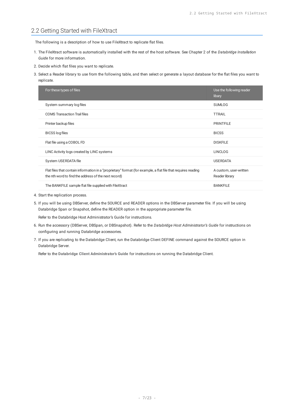## <span id="page-6-0"></span>2.2 Getting Started with FileXtract

The following is a description of how to use FileXtract to replicate flat files.

- 1. The FileXtract software is automatically installed with the rest of the host software. See Chapter 2 of the Databridge Installation *Guide* for more information.
- 2. Decide which flat files you want to replicate.
- 3. Select a Reader library to use from the following table, and then select or generate a layout database for the flat files you want to replicate.

| For these types of files                                                                                                                                              | Use the following reader<br>libary       |
|-----------------------------------------------------------------------------------------------------------------------------------------------------------------------|------------------------------------------|
| System summary log files                                                                                                                                              | <b>SUMLOG</b>                            |
| <b>COMS Transaction Trail files</b>                                                                                                                                   | <b>TTRAIL</b>                            |
| Printer backup files                                                                                                                                                  | <b>PRINTFILE</b>                         |
| <b>BICSS</b> log files                                                                                                                                                | <b>BICSS</b>                             |
| Flat file using a COBOL FD                                                                                                                                            | <b>DISKFILE</b>                          |
| LINC Activity logs created by LINC systems                                                                                                                            | <b>LINCLOG</b>                           |
| System USERDATA file                                                                                                                                                  | <b>USERDATA</b>                          |
| Flat files that contain information in a "proprietary" format (for example, a flat file that requires reading<br>the nth word to find the address of the next record) | A custom, user-written<br>Reader library |
| The BANKFILE sample flat file supplied with FileXtract                                                                                                                | <b>BANKFILE</b>                          |

- 4. Start the replication process.
- 5. If you will be using DBServer, define the SOURCE and READER options in the DBServer parameter file. If you will be using Databridge Span or Snapshot, define the READER option in the appropriate parameter file.

Refer to the Databridge Host Administrator's Guide for instructions.

- 6. Run the accessory (DBServer, DBSpan, or DBSnapshot). Refer to the *Databridge Host Administrator's Guide* for instructions on configuring and running Databridge accessories.
- 7. If you are replicating to the Databridge Client, run the Databridge Client DEFINE command against the SOURCE option in Databridge Server.

Refer to the **Databridge Client Administrator's Guide** for instructions on running the Databridge Client.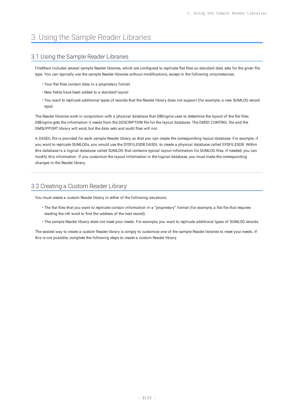# <span id="page-7-3"></span><span id="page-7-0"></span>3. Using the Sample Reader Libraries

## <span id="page-7-1"></span>3.1 Using the Sample Reader Libraries

FileXtract includes several sample Reader libraries, which are configured to replicate flat files as standard data sets for the given file type. You can typically use the sample Reader libraries without modifications, except in the following circumstances:

- Your flat files contain data in a proprietary format •
- New fields have been added to a standard layout •
- You want to replicate additional types of records that the Reader library does not support (for example, a new SUMLOG record type)

The Reader libraries work in conjunction with a physical database that DBEngine uses to determine the layout of the flat files. DBEngine gets the information it needs from the DESCRIPTION file for the layout database. The DMSII CONTROL file and the DMSUPPORT library will exist, but the data sets and audit files will not.

A DASDL file is provided for each sample Reader library so that you can create the corresponding layout database. For example, if you want to replicate SUMLOGs, you would use the SYSFILESDB DASDL to create a physical database called SYSFILESDB. Within this database is a logical database called SUMLOG that contains typical layout information for SUMLOG files. If needed, you can modify this information. If you customize the layout information in the logical database, you must make the corresponding changes in the Reader library.

## <span id="page-7-2"></span>3.2 Creating a Custom Reader Library

You must create a custom Reader library in either of the following situations:

- $\cdot$  The flat files that you want to replicate contain information in a "proprietary" format (for example, a flat file that requires reading the *n*th word to find the address of the next record).
- The sample Reader library does not meet your needs. For example, you want to replicate additional types of SUMLOG records.

The easiest way to create a custom Reader library is simply to customize one of the sample Reader libraries to meet your needs. If this is not possible, complete the following steps to create a custom Reader library.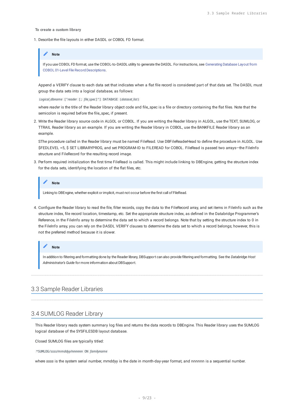#### **To create a custom library**

1. Describe the file layouts in either DASDL or COBOL FD format.

#### **Note**

If you use COBOL FD format, use the COBOL-to-DASDL utility to generate the DASDL. For instructions, see Generating Database Layout from COBOL 01-Level File Record Descriptions.

Append a VERIFY clause to each data set that indicates when a flat file record is considered part of that data set. The DASDL must group the data sets into a logical database, as follows:

*Logical\_dbname* ["*reader* [; *file\_spec*]"] DATABASE (*dataset\_list*)

where *reader* is the title of the Reader library object code and file\_spec is a file or directory containing the flat files. Note that the semicolon is required before the file\_spec, if present.

Write the Reader library source code in ALGOL or COBOL. If you are writing the Reader library in ALGOL, use the TEXT, SUMLOG, or 2. TTRAIL Reader library as an example. If you are writing the Reader library in COBOL, use the BANKFILE Reader library as an example.

SThe procedure called in the Reader library must be named FileRead. Use DBFileReaderHead to define the procedure in ALGOL. Use \$FEDLEVEL =5, \$ SET LIBRARYPROG, and set PROGRAM-ID to FILEREAD for COBOL. FileRead is passed two arrays—the FileInfo structure and FileRecord for the resulting record image.

3. Perform required initialization the first time FileRead is called. This might include linking to DBEngine, getting the structure index for the data sets, identifying the location of the flat files, etc.

**Note**

Linking to DBEngine, whether explicit or implicit, must not occur before the first call of FileRead.

Configure the Reader library to read the file, filter records, copy the data to the FileRecord array, and set items in FileInfo such as the 4. structure index, file record location, timestamp, etc. Set the appropriate structure index, as defined in the Databridge Programmer's Reference, in the FileInfo array to determine the data set to which a record belongs. Note that by setting the structure index to 0 in the FileInfo array, you can rely on the DASDL VERIFY clauses to determine the data set to which a record belongs; however, this is not the preferred method because it is slower.

#### **Note**

In addition to filtering and formatting done by the Reader library, DBSupport can also provide filtering and formatting. See the *Databridge Host Administrator's Guide* for more information about DBSupport.

## <span id="page-8-0"></span>3.3 Sample Reader Libraries

## <span id="page-8-1"></span>3.4 SUMLOG Reader Library

This Reader library reads system summary log files and returns the data records to DBEngine. This Reader library uses the SUMLOG logical database of the SYSFILESDB layout database.

Closed SUMLOG files are typically titled:

\*SUMLOG/*ssss/mmddyy/nnnnnn* ON *familyname*

where *ssss* is the system serial number, mmddyy is the date in month-day-year format, and nnnnnn is a sequential number.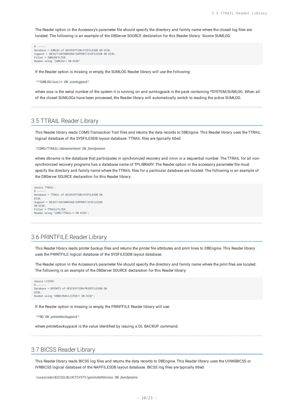The Reader option in the Accessory's parameter file should specify the directory and family name where the closed log files are located. The following is an example of the DBServer SOURCE declaration for this Reader library: Source SUMLOG:

% ------ Database = SUMLOG of DESCRIPTION/SYSFILESDB ON DISK, Support = OBJECT/DATABRIDGE/SUPPORT/SYSFILESDB ON DISK, Filter = SUMLOGFILTER, Reader using "SUMLOG/= ON DISK"

If the Reader option is missing or empty, the SUMLOG Reader library will use the following:

"\*SUMLOG/*ssss*/= ON *sumlogpack*"

where *ssss* is the serial number of the system it is running on and sumlogpack is the pack containing \*SYSTEM/SUMLOG. When all of the closed SUMLOGs have been processed, the Reader library will automatically switch to reading the active SUMLOG.

## <span id="page-9-0"></span>3.5 TTRAIL Reader Library

This Reader library reads COMS Transaction Trail files and returns the data records to DBEngine. This Reader library uses the TTRAIL logical database of the SYSFILESDB layout database. TTRAIL files are typically titled:

\*COMS/TTRAIL/*dbname/nnnn* ON *familyname*

where *dbname* is the database that participates in synchronized recovery and *nnnn* is a sequential number. The TTRAIL for all nonsynchronized recovery programs has a database name of TPLIBRARY. The Reader option in the accessory parameter file must specify the directory and family name where the TTRAIL files for a particular database are located. The following is an example of the DBServer SOURCE declaration for this Reader library:

```
Source TTRAIL:
% ------
Database = TTRAIL of DESCRIPTION/SYSFILESDB ON
DISK,
Support = OBJECT/DATABRIDGE/SUPPORT/SYSFILESDB
ON DISK,
Filter = TTRAILFILTER,
Reader using "COMS/TTRAIL/= ON DISK";
```
## <span id="page-9-1"></span>3.6 PRINTFILE Reader Library

This Reader library reads printer backup files and returns the printer file attributes and print lines to DBEngine. This Reader library uses the PRINTFILE logical database of the SYSFILESDB layout database.

The Reader option in the Accessory's parameter file should specify the directory and family name where the print files are located. The following is an example of the DBServer SOURCE declaration for this Reader library:

```
Source LISTER:
% ------
Database = REPORTS of DESCRIPTION/PRINTFILESDB ON
DISK,
Reader using "DBBD/RUN/LISTER/= ON DISK";
```
If the Reader option is missing or empty, the PRINTFILE Reader library will use:

```
"*BD ON printerbackuppack"
```
where *printerbackuppack* is the value identified by issuing a DL BACKUP command.

## <span id="page-9-2"></span>3.7 BICSS Reader Library

This Reader library reads BICSS log files and returns the data records to DBEngine. This Reader library uses the UVMSBICSS or IVRBICSS logical database of the NAPFILESDB layout database. BICSS log files are typically titled:

```
(usercode)BICSSLOG/ACTIVITY/yymmdd/hhmnss ON familyname
```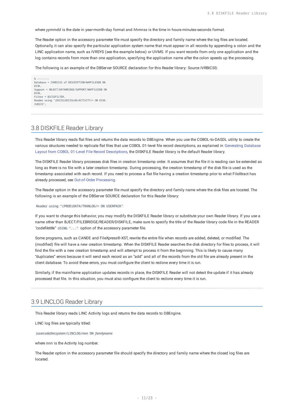where *yymmdd* is the date in year-month-day format and *hhmnss* is the time in hours-minutes-seconds format.

The Reader option in the accessory parameter file must specify the directory and family name where the log files are located. Optionally, it can also specify the particular application system name that must appear in all records by appending a colon and the LINC application name, such as IVRSYS (see the example below) or UVMS. If you want records from only one application and the log contains records from more than one application, specifying the application name after the colon speeds up the processing.

The following is an example of the DBServer SOURCE declaration for this Reader library: Source IVRBICSS:

% -------- Database = IVRBICSS of DESCRIPTION/NAPFILESDB ON DISK, Support = OBJECT/DATABRIDGE/SUPPORT/NAPFILESDB ON DISK, Filter = BICSSFILTER, Reader using "(BICSS)BICSSLOG/ACTIVITY/= ON DISK: IVRSYS";

## <span id="page-10-0"></span>3.8 DISKFILE Reader Library

This Reader library reads flat files and returns the data records to DBEngine. When you use the COBOL-to-DASDL utility to create the various structures needed to replicate flat files that use COBOL 01-level file record descriptions, as explained in Generating Database Layout from COBOL 01-Level File Record Descriptions, the DISKFILE Reader library is the default Reader library.

The DISKFILE Reader library processes disk files in creation timestamp order. It assumes that the file it is reading can be extended as long as there is no file with a later creation timestamp. During processing, the creation timestamp of the disk file is used as the timestamp associated with each record. If you need to process a flat file having a creation timestamp prior to what FileXtract has already processed, see [Out-of-Order Processing](#page-19-4).

The Reader option in the accessory parameter file must specify the directory and family name where the disk files are located. The following is an example of the DBServer SOURCE declaration for this Reader library:

Reader using "(PROD)DATA/TRANLOG/= ON USERPACK"

If you want to change this behavior, you may modify the DISKFILE Reader library or substitute your own Reader library. If you use a name other than BJECT/FILEBRIDGE/READER/DISKFILE, make sure to specify the title of the Reader library code file in the READER *"codefiletitle"* USING "..." option of the accessory parameter file.

Some programs, such as CANDE and FileXpress®-XST, rewrite the entire file when records are added, deleted, or modified. The (modified) file will have a new creation timestamp. When the DISKFILE Reader searches the disk directory for files to process, it will find the file with a new creation timestamp and will attempt to process it from the beginning. This is likely to cause many "duplicates" errors because it will send each record as an "add" and all of the records from the old file are already present in the client database. To avoid these errors, you must configure the client to reclone every time it is run.

Similarly, if the mainframe application updates records in place, the DISKFILE Reader will not detect the update if it has already processed that file. In this situation, you must also configure the client to reclone every time it is run.

## <span id="page-10-1"></span>3.9 LINCLOG Reader Library

This Reader library reads LINC Activity logs and returns the data records to DBEngine.

LINC log files are typically titled:

*(usercode)lincsystem*/LINCLOG/*nnn* ON *familyname*

where *nnn* is the Activity log number.

The Reader option in the accessory parameter file should specify the directory and family name where the closed log files are located.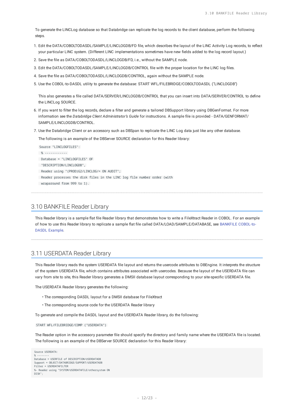To generate the LINCLog database so that Databridge can replicate the log records to the client database, perform the following steps.

- Edit the DATA/COBOLTODASDL/SAMPLE/LINCLOGDB/FD file, which describes the layout of the LINC Activity Log records, to reflect 1. your particular LINC system. (Different LINC implementations sometimes have new fields added to the log record layout.)
- 2. Save the file as DATA/COBOLTODASDL/LINCLOGDB/FD, i.e., without the SAMPLE node.
- Edit the DATA/COBOLTODASDL/SAMPLE/LINCLOGDB/CONTROL file with the proper location for the LINC log files. 3.
- 4. Save the file as DATA/COBOLTODASDL/LINCLOGDB/CONTROL, again without the SAMPLE node.
- 5. Use the COBOL-to-DASDL utility to generate the database: START WFL/FILEBRIDGE/COBOLTODASDL ("LINCLOGDB")

This also generates a file called DATA/SERVER/LINCLOGDB/CONTROL that you can insert into DATA/SERVER/CONTROL to define the LINCLog SOURCE.

- 6. If you want to filter the log records, declare a filter and generate a tailored DBSupport library using DBGenFormat. For more information see the *Databridge Client Administrator's Guide* for instructions. A sample file is provided - DATA/GENFORMAT/ SAMPLE/LINCLOGDB/CONTROL.
- 7. Use the Databridge Client or an accessory such as DBSpan to replicate the LINC Log data just like any other database.

The following is an example of the DBServer SOURCE declaration for this Reader library:



wraparound from 999 to 1).

## <span id="page-11-0"></span>3.10 BANKFILE Reader Library

This Reader library is a sample flat file Reader library that demonstrates how to write a FileXtract Reader in COBOL. For an example of how to use this Reader library to replicate a sample flat file called DATA/LOAD/SAMPLE/DATABASE, see BANKFILE COBOL-to-DASDL Example.

## <span id="page-11-1"></span>3.11 USERDATA Reader Library

This Reader library reads the system USERDATA file layout and returns the usercode attributes to DBEngine. It interprets the structure of the system USERDATA file, which contains attributes associated with usercodes. Because the layout of the USERDATA file can vary from site to site, this Reader library generates a DMSII database layout corresponding to your site-specific USERDATA file.

The USERDATA Reader library generates the following:

- The corresponding DASDL layout for a DMSII database for FileXtract •
- The corresponding source code for the USERDATA Reader library •

To generate and compile the DASDL layout and the USERDATA Reader library, do the following:

#### START WFL/FILEBRIDGE/COMP ("USERDATA")

The Reader option in the accessory parameter file should specify the directory and family name where the USERDATA file is located. The following is an example of the DBServer SOURCE declaration for this Reader library:

Source USERDATA: % -------- Database = USERFILE of DESCRIPTION/USERDATADB Support = OBJECT/DATABRIDGE/SUPPORT/USERDATADB Filter = USERDATAFILTER %- Reader using "SYSTEM/USERDATAFILE/othersystem ON DISK";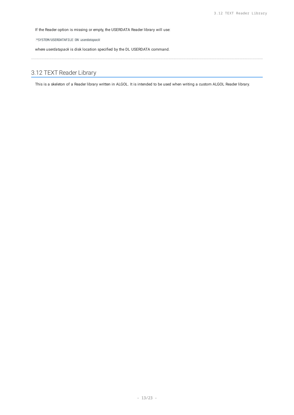If the Reader option is missing or empty, the USERDATA Reader library will use:

\*SYSTEM/USERDATAFILE ON *userdatapack*

where *userdatapack* is disk location specified by the DL USERDATA command.

## <span id="page-12-0"></span>3.12 TEXT Reader Library

This is a skeleton of a Reader library written in ALGOL. It is intended to be used when writing a custom ALGOL Reader library.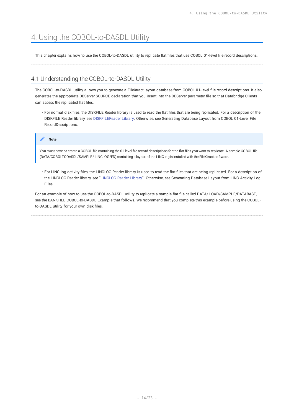# <span id="page-13-2"></span><span id="page-13-0"></span>4. Using the COBOL-to-DASDL Utility

This chapter explains how to use the COBOL-to-DASDL utility to replicate flat files that use COBOL 01-level file record descriptions.

## <span id="page-13-1"></span>4.1 Understanding the COBOL-to-DASDL Utility

The COBOL-to-DASDL utility allows you to generate a FileXtract layout database from COBOL 01-level file record descriptions. It also generates the appropriate DBServer SOURCE declaration that you insert into the DBServer parameter file so that Databridge Clients can access the replicated flat files.

• For normal disk files, the DISKFILE Reader library is used to read the flat files that are being replicated. For a description of the DISKFILE Reader library, see [DISKFILEReader Library](#page-10-0). Otherwise, see Generating Database Layout from COBOL 01-Level File RecordDescriptions.

#### **Note**

You must have or create a COBOL file containing the 01-level file record descriptions for the flat files you want to replicate. A sample COBOL file (DATA/COBOLTODASDL/SAMPLE/ LINCLOG/FD) containing a layout of the LINC log is installed with the FileXtract software.

 $\cdot$  For LINC log activity files, the LINCLOG Reader library is used to read the flat files that are being replicated. For a description of the LINCLOG Reader library, see "[LINCLOG Reader Library"](#page-10-1). Otherwise, see Generating Database Layout from LINC Activity Log Files.

For an example of how to use the COBOL-to-DASDL utility to replicate a sample flat file called DATA/ LOAD/SAMPLE/DATABASE, see the BANKFILE COBOL-to-DASDL Example that follows. We recommend that you complete this example before using the COBOLto-DASDL utility for your own disk files.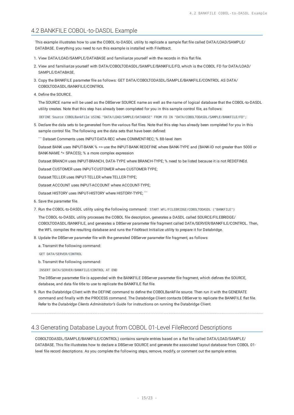## <span id="page-14-0"></span>4.2 BANKFILE COBOL-to-DASDL Example

This example illustrates how to use the COBOL-to-DASDL utility to replicate a sample flat file called DATA/LOAD/SAMPLE/ DATABASE. Everything you need to run this example is installed with FileXtract.

- 1. View DATA/LOAD/SAMPLE/DATABASE and familiarize yourself with the records in this flat file.
- 2. View and familiarize yourself with DATA/COBOLTODASDL/SAMPLE/BANKFILE/FD, which is the COBOL FD for DATA/LOAD/ SAMPLE/DATABASE.
- 3. Copy the BANKFILE parameter file as follows: GET DATA/COBOLTODASDL/SAMPLE/BANKFILE/CONTROL AS DATA/ COBOLTODASDL/BANKFILE/CONTROL
- 4. Define the SOURCE.

The SOURCE name will be used as the DBServer SOURCE name as well as the name of logical database that the COBOL-to-DASDL utility creates. Note that this step has already been completed for you in this sample control file, as follows:

DEFINE Source COBOLBankFile USING "DATA/LOAD/SAMPLE/DATABASE" FROM FD IN "DATA/COBOLTODASDL/SAMPLE/BANKFILE/FD";

Declare the data sets to be generated from the various flat files. Note that this step has already been completed for you in this 5. sample control file. The following are the data sets that have been defined:

``` Dataset Comments uses INPUT-DATA-REC where COMMENT-REC; % 88-level item

Dataset BANK uses INPUT-BANK % => use the INPUT-BANK REDEFINE where BANK-TYPE and (BANK-ID not greater than 5000 or BANK-NAME ^= SPACES); % a more complex expression

Dataset BRANCH uses INPUT-BRANCH, DATA-TYPE where BRANCH-TYPE; % need to be listed because it is not REDEFINEd.

Dataset CUSTOMER uses INPUT-CUSTOMER where CUSTOMER-TYPE;

Dataset TELLER uses INPUT-TELLER where TELLER-TYPE;

Dataset ACCOUNT uses INPUT-ACCOUNT where ACCOUNT-TYPE;

Dataset HISTORY uses INPUT-HISTORY where HISTORY-TYPE; ```

- 6. Save the parameter file.
- 7. Run the COBOL-to-DASDL utility using the following command: START WFL/FILEBRIDGE/COBOLTODASDL ("BANKFILE")

The COBOL-to-DASDL utility processes the COBOL file description, generates a DASDL called SOURCE/FILEBRIDGE/ COBOLTODASDL/BANKFILE, and generates a DBServer parameter file fragment called DATA/SERVER/BANKFILE/CONTROL. Then, the WFL compiles the resulting database and runs the FileXtract Initialize utility to prepare it for Databridge.

8. Update the DBServer parameter file with the generated DBServer parameter file fragment, as follows:

a. Transmit the following command:

GET DATA/SERVER/CONTROL

b. Transmit the following command:

INSERT DATA/SERVER/BANKFILE/CONTROL AT END

The DBServer parameter file is appended with the BANKFILE DBServer parameter file fragment, which defines the SOURCE, database, and data file title to use to replicate the BANKFILE flat file.

9. Run the Databridge Client with the DEFINE command to define the COBOLBankFile source. Then run it with the GENERATE command and finally with the PROCESS command. The Databridge Client contacts DBServer to replicate the BANKFILE flat file. Refer to the *Databridge Clients Administrator's Guide* for instructions on running the Databridge Client.

## <span id="page-14-1"></span>4.3 Generating Database Layout from COBOL 01-Level FileRecord Descriptions

COBOLTODASDL/SAMPLE/BANKFILE/CONTROL) contains sample entries based on a flat file called DATA/LOAD/SAMPLE/ DATABASE. This file illustrates how to declare a DBServer SOURCE and generate the associated layout database from COBOL 01 level file record descriptions. As you complete the following steps, remove, modify, or comment out the sample entries.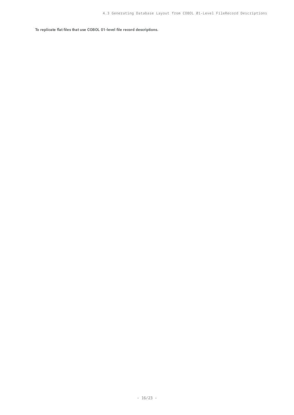**To replicate flat files that use COBOL 01-level file record descriptions.**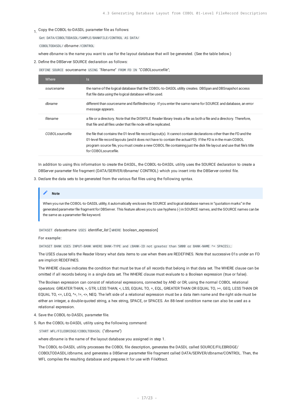## 1. Copy the COBOL-to-DASDL parameter file as follows:

Get DATA/COBOLTODASDL/SAMPLE/BANKFILE/CONTROL AS DATA/

COBOLTODASDL/ *dbname* /CONTROL

where *dbname* is the name you want to use for the layout database that will be generated. (See the table below.)

2. Define the DBServer SOURCE declaration as follows:

DEFINE SOURCE sourcename USING "*filename*" FROM FD IN "*COBOLsourcefile*";

| <b>Where</b>     | ls.                                                                                                                                                                                                                                                                                                                                                                                  |
|------------------|--------------------------------------------------------------------------------------------------------------------------------------------------------------------------------------------------------------------------------------------------------------------------------------------------------------------------------------------------------------------------------------|
| sourcename       | the name of the logical database that the COBOL-to-DASDL utility creates. DBSpan and DBSnapshot access<br>flat file data using the logical database will be used.                                                                                                                                                                                                                    |
| dhname           | different than sourcename and flatfiledirectory. If you enter the same name for SOURCE and database, an error<br>message appears.                                                                                                                                                                                                                                                    |
| filename         | a file or a directory. Note that the DISKFILE Reader library treats a file as both a file and a directory. Therefore,<br>that file and all files under that file node will be replicated.                                                                                                                                                                                            |
| COBOL sourcefile | the file that contains the 01-level file record layout(s). It cannot contain declarations other than the FD and the<br>01-level file record layouts (and it does not have to contain the actual FD). If the FD is in the main COBOL<br>program source file, you must create a new COBOL file containing just the disk file layout and use that file's title<br>for COBOL sourcefile. |

In addition to using this information to create the DASDL, the COBOL-to-DASDL utility uses the SOURCE declaration to create a DBServer parameter file fragment (DATA/SERVER/dbname/ CONTROL) which you insert into the DBServer control file.

3. Declare the data sets to be generated from the various flat files using the following syntax.

#### **Note**

When you run the COBOL-to-DASDL utility, it automatically encloses the SOURCE and logical database names in "quotation marks" in the generated parameter file fragment for DBServer. This feature allows you to use hyphens (-) in SOURCE names, and the SOURCE names can be the same as a parameter file keyword.

DATASET *datasetname* USES *identifier\_list* [ WHERE boolean\_expression]

**For example:**

DATASET BANK USES INPUT-BANK WHERE BANK-TYPE and (BANK-ID not greater than 5000 or BANK-NAME ^= SPACES);

The USES clause tells the Reader library what data items to use when there are REDEFINES. Note that successive 01s under an FD are implicit REDEFINES.

The WHERE clause indicates the condition that must be true of all records that belong in that data set. The WHERE clause can be omitted if all records belong in a single data set. The WHERE clause must evaluate to a Boolean expression (true or false).

The Boolean expression can consist of relational expressions, connected by AND or OR, using the normal COBOL relational operators: GREATER THAN, >, GTR, LESS THAN, <, LSS, EQUAL TO, =, EQL, GREATER THAN OR EQUAL TO, >=, GEQ, LESS THAN OR EQUAL TO, <=, LEQ, ^=, !=, <>, NEQ. The left side of a relational expression must be a data item name and the right side must be either an integer, a double-quoted string, a hex string, SPACE, or SPACES. An 88-level condition name can also be used as a relational expression.

- 4. Save the COBOL-to-DASDL parameter file.
- 5. Run the COBOL-to-DASDL utility using the following command:

START WFL/FILEBRIDGE/COBOLTODASDL ("*dbname*")

where *dbname* is the name of the layout database you assigned in step 1.

The COBOL-to-DASDL utility processes the COBOL file description, generates the DASDL called SOURCE/FILEBRIDGE/ COBOLTODASDL/*dbname*, and generates a DBServer parameter file fragment called DATA/SERVER/*dbname*/CONTROL. Then, the WFL compiles the resulting database and prepares it for use with FileXtract.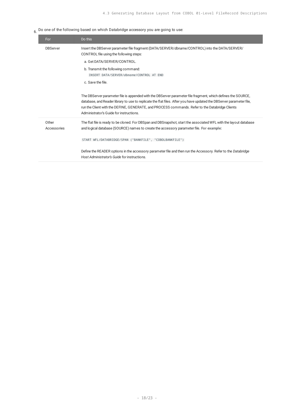$6.$  Do one of the following based on which Databridge accessory you are going to use:

| For                  | Do this                                                                                                                                                                                                                                                                                                                                                                           |
|----------------------|-----------------------------------------------------------------------------------------------------------------------------------------------------------------------------------------------------------------------------------------------------------------------------------------------------------------------------------------------------------------------------------|
| <b>DBServer</b>      | Insert the DBServer parameter file fragment (DATA/SERVER/dbname/CONTROL) into the DATA/SERVER/<br>CONTROL file using the following steps:                                                                                                                                                                                                                                         |
|                      | a. Get DATA/SERVER/CONTROL.                                                                                                                                                                                                                                                                                                                                                       |
|                      | b. Transmit the following command:<br>INSERT DATA/SERVER/dbname/CONTROL AT END                                                                                                                                                                                                                                                                                                    |
|                      | c. Save the file.                                                                                                                                                                                                                                                                                                                                                                 |
|                      | The DBServer parameter file is appended with the DBServer parameter file fragment, which defines the SOURCE,<br>database, and Reader library to use to replicate the flat files. After you have updated the DBServer parameter file,<br>run the Client with the DEFINE, GENERATE, and PROCESS commands. Refer to the Databridge Clients<br>Administrator's Guide for instructions |
| Other<br>Accessories | The flat file is ready to be cloned. For DBSpan and DBSnapshot, start the associated WFL with the layout database<br>and logical database (SOURCE) names to create the accessory parameter file. For example:                                                                                                                                                                     |
|                      | START WFL/DATABRIDGE/SPAN ("BANKFILE", "COBOLBANKFILE")                                                                                                                                                                                                                                                                                                                           |
|                      | Define the READER options in the accessory parameter file and then run the Accessory. Refer to the Databridge<br>Host Administrator's Guide for instructions.                                                                                                                                                                                                                     |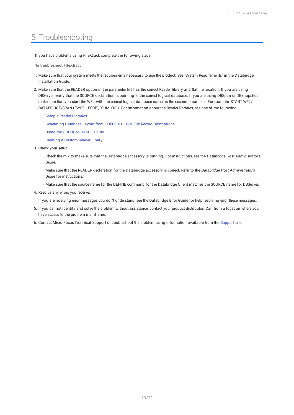# <span id="page-18-0"></span>5. Troubleshooting

If you have problems using FileXtract, complete the following steps.

- **To troubleshoot FileXtract**
- 1. Make sure that your system meets the requirements necessary to use the product. See "System Requirements" in the Databridge Installation Guide.
- 2. Make sure that the READER option in the parameter file has the correct Reader library and flat file location. If you are using DBServer, verify that the SOURCE declaration is pointing to the correct logical database. If you are using DBSpan or DBSnapshot, make sure that you start the WFL with the correct logical database name as the second parameter. For example, START WFL/ DATABRIDGE/SPAN ("SYSFILESDB", "SUMLOG"). For information about the Reader libraries, see one of the following:
	- [Sample Reader Libraries](#page-7-3) •
	- [Generating Database Layout from COBOL 01-Level File Record Descriptions](#page-14-1) •
	- [Using the COBOL-to-DASDL Utility](#page-13-2) •
	- [Creating a Custom Reader Libary](#page-7-2) •
- Check your setup: 3.
	- Check the mix to make sure that the Databridge accessory is running. For instructions, see the *Databridge Host Administrator's Guide*.
	- Make sure that the READER declaration for the Databridge accessory is correct. Refer to the *Databridge Host Administrator's Guide* for instructions.
	- Make sure that the source name for the DEFINE command for the Databridge Client matches the SOURCE name for DBServer.
- 4. Resolve any errors you receive.

If you are receiving error messages you don't understand, see the Databridge Error Guide for help resolving error these messages.

- If you cannot identify and solve the problem without assistance, contact your product distributor. Call from a location where you 5. have access to the problem mainframe.
- 6. Contact Micro Focus Technical Support or troubleshoot the problem using information available from the [Support site.](https://support.microfocus.com/kb/product.php?id=Databridge)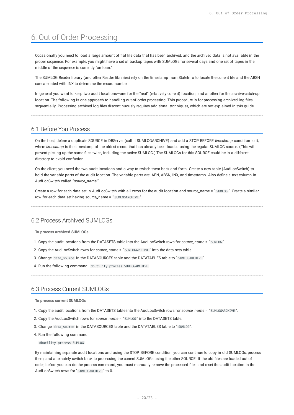# <span id="page-19-4"></span><span id="page-19-0"></span>6. Out of Order Processing

Occasionally you need to load a large amount of flat file data that has been archived, and the archived data is not available in the proper sequence. For example, you might have a set of backup tapes with SUMLOGs for several days and one set of tapes in the middle of the sequence is currently "on loan."

The SUMLOG Reader library (and other Reader libraries) rely on the timestamp from StateInfo to locate the current file and the ABSN concatenated with INX to determine the record number.

In general you want to keep two audit locations—one for the "real" (relatively current) location, and another for the archive-catch-up location. The following is one approach to handling out-of-order processing. This procedure is for processing archived log files sequentially. Processing archived log files discontinuously requires additional techniques, which are not explained in this guide.

## <span id="page-19-1"></span>6.1 Before You Process

On the host, define a duplicate SOURCE in DBServer (call it SUMLOGARCHIVE) and add a STOP BEFORE *timestamp* condition to it, where *timestamp* is the timestamp of the oldest record that has already been loaded using the regular SUMLOG source. (This will prevent picking up the same files twice, including the active SUMLOG.) The SUMLOGs for this SOURCE could be in a different directory to avoid confusion.

On the client, you need the two audit locations and a way to switch them back and forth. Create a new table (AudLocSwitch) to hold the variable parts of the audit location. The variable parts are: AFN, ABSN, INX, and timestamp. Also define a text column in AudLocSwitch called "*source\_name*."

Create a row for each data set in AudLocSwitch with all zeros for the audit location and source\_name = " SUMLOG ". Create a similar row for each data set having source\_name = " SUMLOGARCHIVE ".

## <span id="page-19-2"></span>6.2 Process Archived SUMLOGs

**To process archived SUMLOGs**

- 1. Copy the audit locations from the DATASETS table into the AudLocSwitch rows for *source\_name* = " SUMLOG ".
- 2. Copy the AudLocSwitch rows for source\_name = " SUML0GARCHIVE " into the data sets table.
- 3. Change data\_source in the DATASOURCES table and the DATATABLES table to " SUML0GARCHIVE ".
- 4. Run the following command: dbutility process SUMLOGARCHIVE

## <span id="page-19-3"></span>6.3 Process Current SUMLOGs

**To process current SUMLOGs**

- Copy the audit locations from the DATASETS table into the AudLocSwitch rows for *source\_name* = " SUMLOGARCHIVE ". 1.
- 2. Copy the AudLocSwitch rows for *source\_name* = " SUML0G " into the DATASETS table.
- 3. Change data\_source in the DATASOURCES table and the DATATABLES table to " SUMLOG ".
- 4. Run the following command:

dbutility process SUMLOG

By maintaining separate audit locations and using the STOP BEFORE condition, you can continue to copy in old SUMLOGs, process them, and alternately switch back to processing the current SUMLOGs using the other SOURCE. If the old files are loaded out of order, before you can do the process command, you must manually remove the processed files and reset the audit location in the AudLocSwitch rows for " SUMLOGARCHIVE " to 0.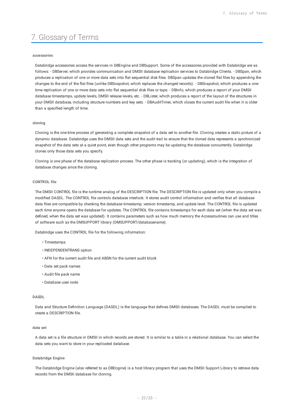# <span id="page-20-0"></span>7. Glossary of Terms

#### **accessories**

Databridge accessories access the services in DBEngine and DBSupport. Some of the accessories provided with Databridge are as follows: - DBServer, which provides communication and DMSII database replication services to Databridge Clients. - DBSpan, which produces a replication of one or more data sets into flat sequential disk files. DBSpan updates the cloned flat files by appending the changes to the end of the flat files (unlike DBSnapshot, which replaces the changed records). - DBSnapshot, which produces a onetime replication of one or more data sets into flat sequential disk files or tape. - DBInfo, which produces a report of your DMSII database timestamps, update levels, DMSII release levels, etc. - DBLister, which produces a report of the layout of the structures in your DMSII database, including structure numbers and key sets. - DBAuditTimer, which closes the current audit file when it is older than a specified length of time.

#### **cloning**

Cloning is the one-time process of generating a complete snapshot of a data set to another file. Cloning creates a static picture of a dynamic database. Databridge uses the DMSII data sets and the audit trail to ensure that the cloned data represents a synchronized snapshot of the data sets at a quiet point, even though other programs may be updating the database concurrently. Databridge clones only those data sets you specify.

Cloning is one phase of the database replication process. The other phase is tracking (or updating), which is the integration of database changes since the cloning.

#### **CONTROL file**

The DMSII CONTROL file is the runtime analog of the DESCRIPTION file. The DESCRIPTION file is updated only when you compile a modified DASDL. The CONTROL file controls database interlock. It stores audit control information and verifies that all database data files are compatible by checking the database timestamp, version timestamp, and update level. The CONTROL file is updated each time anyone opens the database for updates. The CONTROL file contains timestamps for each data set (when the data set was defined, when the data set was updated). It contains parameters such as how much memory the Accessroutines can use and titles of software such as the DMSUPPORT library (DMSUPPORT/databasename).

Databridge uses the CONTROL file for the following information:

- Timestamps •
- INDEPENDENTRANS option
- AFN for the current audit file and ABSN for the current audit block •
- Data set pack names •
- Audit file pack name •
- Database user code •

#### **DASDL**

Data and Structure Definition Language (DASDL) is the language that defines DMSII databases. The DASDL must be compiled to create a DESCRIPTION file.

#### **data set**

A data set is a file structure in DMSII in which records are stored. It is similar to a table in a relational database. You can select the data sets you want to store in your replicated database.

#### **Databridge Engine**

The Databridge Engine (also referred to as DBEngine) is a host library program that uses the DMSII Support Library to retrieve data records from the DMSII database for cloning.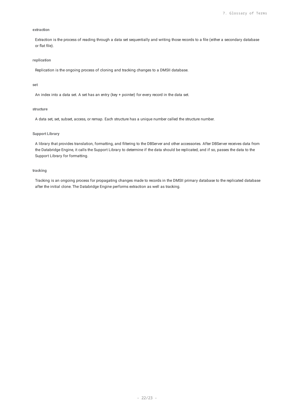#### **extraction**

Extraction is the process of reading through a data set sequentially and writing those records to a file (either a secondary database or flat file).

#### **replication**

Replication is the ongoing process of cloning and tracking changes to a DMSII database.

#### **set**

An index into a data set. A set has an entry (key + pointer) for every record in the data set.

#### **structure**

A data set, set, subset, access, or remap. Each structure has a unique number called the structure number.

#### **Support Library**

A library that provides translation, formatting, and filtering to the DBServer and other accessories. After DBServer receives data from the Databridge Engine, it calls the Support Library to determine if the data should be replicated, and if so, passes the data to the Support Library for formatting.

#### **tracking**

Tracking is an ongoing process for propagating changes made to records in the DMSII primary database to the replicated database after the initial clone. The Databridge Engine performs extraction as well as tracking.